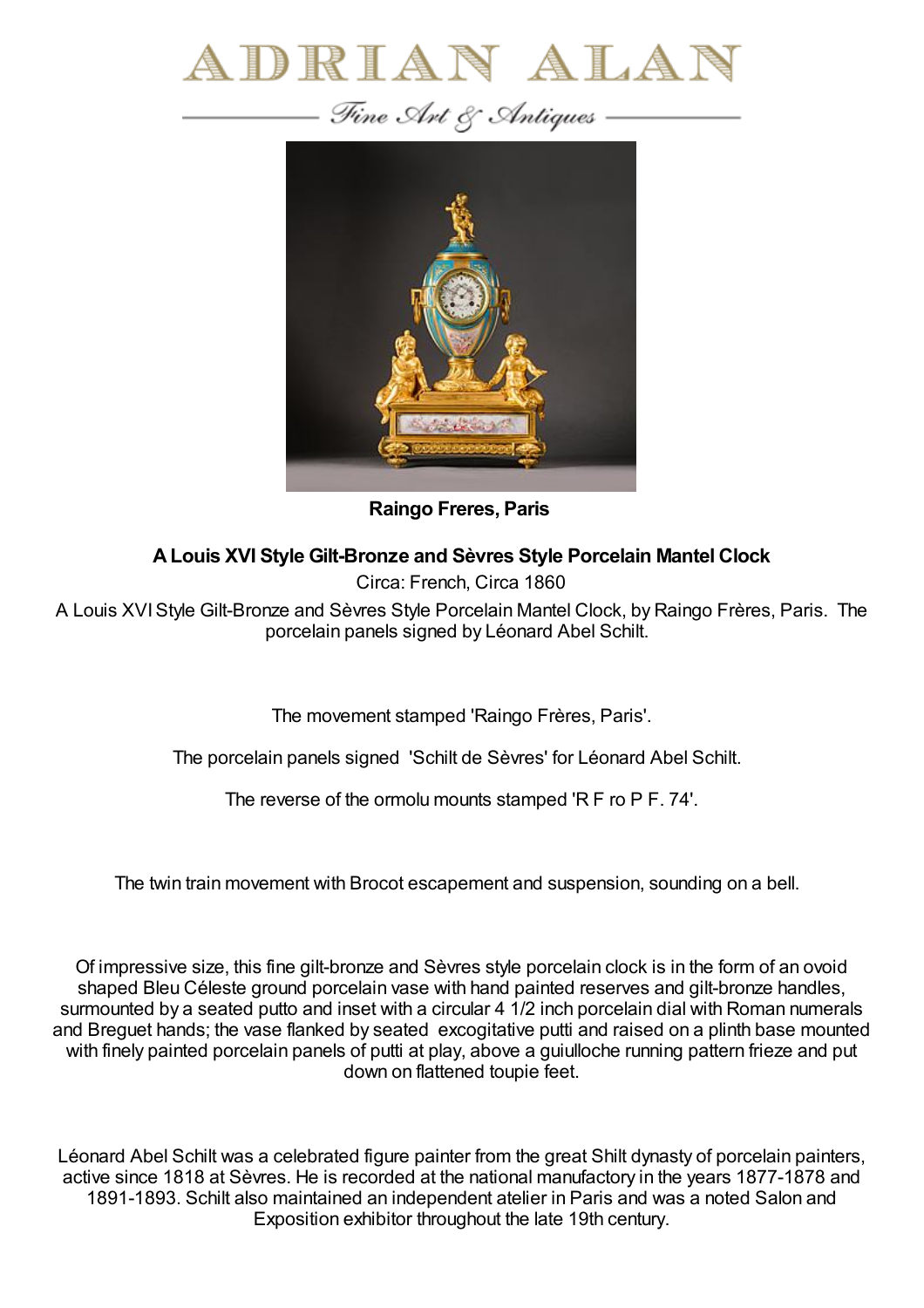



**Raingo Freres, Paris**

## **ALouis XVI Style Gilt-Bronze and Sèvres Style Porcelain Mantel Clock**

Circa: French, Circa 1860

A Louis XVIStyle Gilt-Bronze and Sèvres Style Porcelain Mantel Clock, by Raingo Frères, Paris. The porcelain panels signed by Léonard Abel Schilt.

The movement stamped 'Raingo Frères, Paris'.

The porcelain panels signed 'Schilt de Sèvres' for Léonard Abel Schilt.

The reverse of the ormolu mounts stamped 'R F ro P F. 74'.

The twin train movement with Brocot escapement and suspension, sounding on a bell.

Of impressive size, this fine gilt-bronze and Sèvres style porcelain clock is in the form of an ovoid shaped Bleu Céleste ground porcelain vase with hand painted reserves and gilt-bronze handles, surmounted by a seated putto and inset with a circular 4 1/2 inch porcelain dial with Roman numerals and Breguet hands; the vase flanked by seated excogitative putti and raised on a plinth base mounted with finely painted porcelain panels of putti at play, above a guiulloche running pattern frieze and put down on flattened toupie feet.

Léonard Abel Schilt was a celebrated figure painter from the great Shilt dynasty of porcelain painters, active since 1818 at Sèvres. He is recorded at the national manufactory in the years 1877-1878 and 1891-1893. Schilt also maintained an independent atelier in Paris and was a noted Salon and Exposition exhibitor throughout the late 19th century.